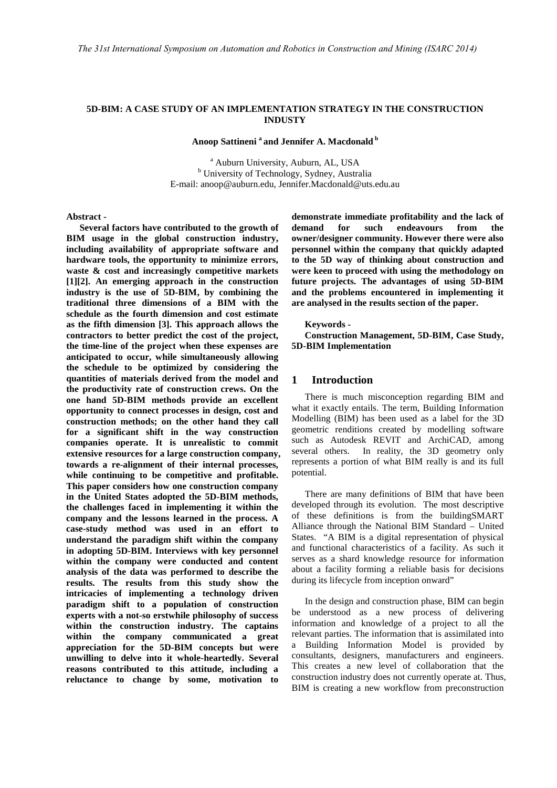# **5D-BIM: A CASE STUDY OF AN IMPLEMENTATION STRATEGY IN THE CONSTRUCTION INDUSTY**

**Anoop Sattineni a and Jennifer A. Macdonald b**

<sup>a</sup> Auburn University, Auburn, AL, USA b University of Technology, Sydney, Australia E-mail: anoop@auburn.edu, Jennifer.Macdonald@uts.edu.au

**Abstract -** 

**Several factors have contributed to the growth of BIM usage in the global construction industry, including availability of appropriate software and hardware tools, the opportunity to minimize errors, waste & cost and increasingly competitive markets [1][2]. An emerging approach in the construction industry is the use of 5D-BIM, by combining the traditional three dimensions of a BIM with the schedule as the fourth dimension and cost estimate as the fifth dimension [3]. This approach allows the contractors to better predict the cost of the project, the time-line of the project when these expenses are anticipated to occur, while simultaneously allowing the schedule to be optimized by considering the quantities of materials derived from the model and the productivity rate of construction crews. On the one hand 5D-BIM methods provide an excellent opportunity to connect processes in design, cost and construction methods; on the other hand they call for a significant shift in the way construction companies operate. It is unrealistic to commit extensive resources for a large construction company, towards a re-alignment of their internal processes, while continuing to be competitive and profitable. This paper considers how one construction company in the United States adopted the 5D-BIM methods, the challenges faced in implementing it within the company and the lessons learned in the process. A case-study method was used in an effort to understand the paradigm shift within the company in adopting 5D-BIM. Interviews with key personnel within the company were conducted and content analysis of the data was performed to describe the results. The results from this study show the intricacies of implementing a technology driven paradigm shift to a population of construction experts with a not-so erstwhile philosophy of success within the construction industry. The captains within the company communicated a great appreciation for the 5D-BIM concepts but were unwilling to delve into it whole-heartedly. Several reasons contributed to this attitude, including a reluctance to change by some, motivation to** 

**demonstrate immediate profitability and the lack of demand for such endeavours from the owner/designer community. However there were also personnel within the company that quickly adapted to the 5D way of thinking about construction and were keen to proceed with using the methodology on future projects. The advantages of using 5D-BIM and the problems encountered in implementing it are analysed in the results section of the paper.**

#### **Keywords -**

**Construction Management, 5D-BIM, Case Study, 5D-BIM Implementation**

### **1 Introduction**

There is much misconception regarding BIM and what it exactly entails. The term, Building Information Modelling (BIM) has been used as a label for the 3D geometric renditions created by modelling software such as Autodesk REVIT and ArchiCAD, among several others. In reality, the 3D geometry only represents a portion of what BIM really is and its full potential.

There are many definitions of BIM that have been developed through its evolution. The most descriptive of these definitions is from the buildingSMART Alliance through the National BIM Standard – United States. "A BIM is a digital representation of physical and functional characteristics of a facility. As such it serves as a shard knowledge resource for information about a facility forming a reliable basis for decisions during its lifecycle from inception onward"

In the design and construction phase, BIM can begin be understood as a new process of delivering information and knowledge of a project to all the relevant parties. The information that is assimilated into a Building Information Model is provided by consultants, designers, manufacturers and engineers. This creates a new level of collaboration that the construction industry does not currently operate at. Thus, BIM is creating a new workflow from preconstruction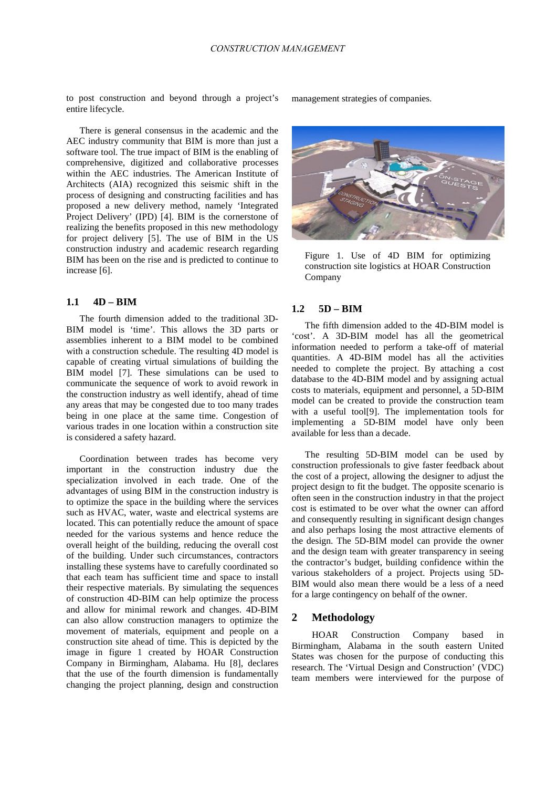to post construction and beyond through a project's entire lifecycle.

There is general consensus in the academic and the AEC industry community that BIM is more than just a software tool. The true impact of BIM is the enabling of comprehensive, digitized and collaborative processes within the AEC industries. The American Institute of Architects (AIA) recognized this seismic shift in the process of designing and constructing facilities and has proposed a new delivery method, namely 'Integrated Project Delivery' (IPD) [4]. BIM is the cornerstone of realizing the benefits proposed in this new methodology for project delivery [5]. The use of BIM in the US construction industry and academic research regarding BIM has been on the rise and is predicted to continue to increase [6].

### **1.1 4D – BIM**

The fourth dimension added to the traditional 3D-BIM model is 'time'. This allows the 3D parts or assemblies inherent to a BIM model to be combined with a construction schedule. The resulting 4D model is capable of creating virtual simulations of building the BIM model [7]. These simulations can be used to communicate the sequence of work to avoid rework in the construction industry as well identify, ahead of time any areas that may be congested due to too many trades being in one place at the same time. Congestion of various trades in one location within a construction site is considered a safety hazard.

Coordination between trades has become very important in the construction industry due the specialization involved in each trade. One of the advantages of using BIM in the construction industry is to optimize the space in the building where the services such as HVAC, water, waste and electrical systems are located. This can potentially reduce the amount of space needed for the various systems and hence reduce the overall height of the building, reducing the overall cost of the building. Under such circumstances, contractors installing these systems have to carefully coordinated so that each team has sufficient time and space to install their respective materials. By simulating the sequences of construction 4D-BIM can help optimize the process and allow for minimal rework and changes. 4D-BIM can also allow construction managers to optimize the movement of materials, equipment and people on a construction site ahead of time. This is depicted by the image in figure 1 created by HOAR Construction Company in Birmingham, Alabama. Hu [8], declares that the use of the fourth dimension is fundamentally changing the project planning, design and construction

management strategies of companies.



Figure 1. Use of 4D BIM for optimizing construction site logistics at HOAR Construction Company

## **1.2 5D – BIM**

The fifth dimension added to the 4D-BIM model is 'cost'. A 3D-BIM model has all the geometrical information needed to perform a take-off of material quantities. A 4D-BIM model has all the activities needed to complete the project. By attaching a cost database to the 4D-BIM model and by assigning actual costs to materials, equipment and personnel, a 5D-BIM model can be created to provide the construction team with a useful tool[9]. The implementation tools for implementing a 5D-BIM model have only been available for less than a decade.

The resulting 5D-BIM model can be used by construction professionals to give faster feedback about the cost of a project, allowing the designer to adjust the project design to fit the budget. The opposite scenario is often seen in the construction industry in that the project cost is estimated to be over what the owner can afford and consequently resulting in significant design changes and also perhaps losing the most attractive elements of the design. The 5D-BIM model can provide the owner and the design team with greater transparency in seeing the contractor's budget, building confidence within the various stakeholders of a project. Projects using 5D-BIM would also mean there would be a less of a need for a large contingency on behalf of the owner.

# **2 Methodology**

HOAR Construction Company based in Birmingham, Alabama in the south eastern United States was chosen for the purpose of conducting this research. The 'Virtual Design and Construction' (VDC) team members were interviewed for the purpose of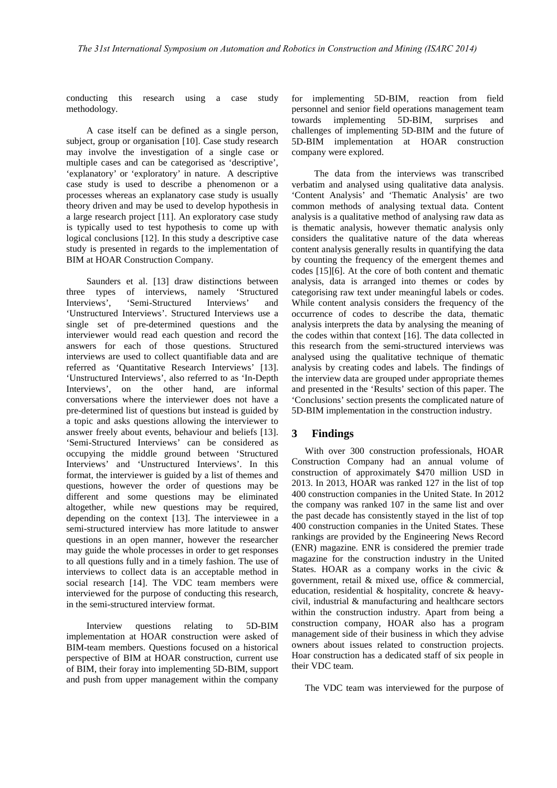conducting this research using a case study methodology.

A case itself can be defined as a single person, subject, group or organisation [10]. Case study research may involve the investigation of a single case or multiple cases and can be categorised as 'descriptive', 'explanatory' or 'exploratory' in nature. A descriptive case study is used to describe a phenomenon or a processes whereas an explanatory case study is usually theory driven and may be used to develop hypothesis in a large research project [11]. An exploratory case study is typically used to test hypothesis to come up with logical conclusions [12]. In this study a descriptive case study is presented in regards to the implementation of BIM at HOAR Construction Company.

Saunders et al. [13] draw distinctions between three types of interviews, namely 'Structured Interviews', 'Semi-Structured Interviews' and 'Unstructured Interviews'. Structured Interviews use a single set of pre-determined questions and the interviewer would read each question and record the answers for each of those questions. Structured interviews are used to collect quantifiable data and are referred as 'Quantitative Research Interviews' [13]. 'Unstructured Interviews', also referred to as 'In-Depth Interviews', on the other hand, are informal conversations where the interviewer does not have a pre-determined list of questions but instead is guided by a topic and asks questions allowing the interviewer to answer freely about events, behaviour and beliefs [13]. 'Semi-Structured Interviews' can be considered as occupying the middle ground between 'Structured Interviews' and 'Unstructured Interviews'. In this format, the interviewer is guided by a list of themes and questions, however the order of questions may be different and some questions may be eliminated altogether, while new questions may be required, depending on the context [13]. The interviewee in a semi-structured interview has more latitude to answer questions in an open manner, however the researcher may guide the whole processes in order to get responses to all questions fully and in a timely fashion. The use of interviews to collect data is an acceptable method in social research [14]. The VDC team members were interviewed for the purpose of conducting this research, in the semi-structured interview format.

Interview questions relating to 5D-BIM implementation at HOAR construction were asked of BIM-team members. Questions focused on a historical perspective of BIM at HOAR construction, current use of BIM, their foray into implementing 5D-BIM, support and push from upper management within the company

for implementing 5D-BIM, reaction from field personnel and senior field operations management team towards implementing 5D-BIM, surprises and challenges of implementing 5D-BIM and the future of 5D-BIM implementation at HOAR construction company were explored.

The data from the interviews was transcribed verbatim and analysed using qualitative data analysis. 'Content Analysis' and 'Thematic Analysis' are two common methods of analysing textual data. Content analysis is a qualitative method of analysing raw data as is thematic analysis, however thematic analysis only considers the qualitative nature of the data whereas content analysis generally results in quantifying the data by counting the frequency of the emergent themes and codes [15][6]. At the core of both content and thematic analysis, data is arranged into themes or codes by categorising raw text under meaningful labels or codes. While content analysis considers the frequency of the occurrence of codes to describe the data, thematic analysis interprets the data by analysing the meaning of the codes within that context [16]. The data collected in this research from the semi-structured interviews was analysed using the qualitative technique of thematic analysis by creating codes and labels. The findings of the interview data are grouped under appropriate themes and presented in the 'Results' section of this paper. The 'Conclusions' section presents the complicated nature of 5D-BIM implementation in the construction industry.

# **3 Findings**

With over 300 construction professionals, HOAR Construction Company had an annual volume of construction of approximately \$470 million USD in 2013. In 2013, HOAR was ranked 127 in the list of top 400 construction companies in the United State. In 2012 the company was ranked 107 in the same list and over the past decade has consistently stayed in the list of top 400 construction companies in the United States. These rankings are provided by the Engineering News Record (ENR) magazine. ENR is considered the premier trade magazine for the construction industry in the United States. HOAR as a company works in the civic & government, retail & mixed use, office & commercial, education, residential & hospitality, concrete & heavycivil, industrial & manufacturing and healthcare sectors within the construction industry. Apart from being a construction company, HOAR also has a program management side of their business in which they advise owners about issues related to construction projects. Hoar construction has a dedicated staff of six people in their VDC team.

The VDC team was interviewed for the purpose of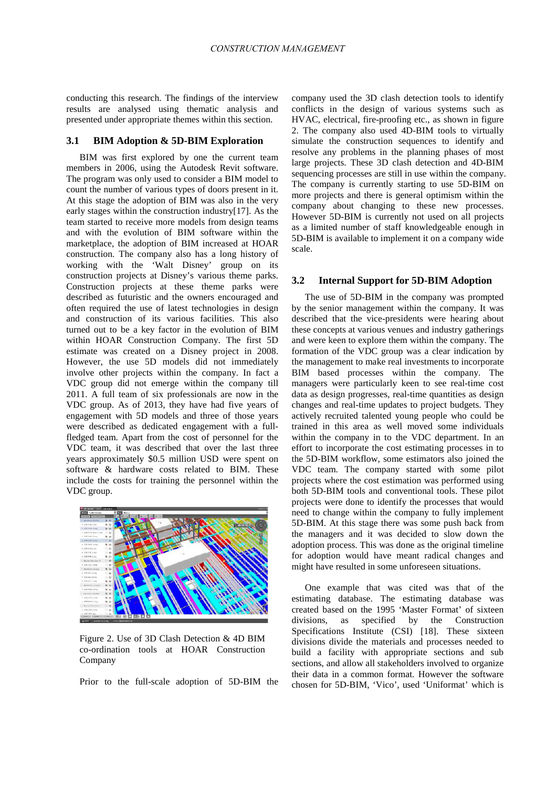conducting this research. The findings of the interview results are analysed using thematic analysis and presented under appropriate themes within this section.

#### **3.1 BIM Adoption & 5D-BIM Exploration**

BIM was first explored by one the current team members in 2006, using the Autodesk Revit software. The program was only used to consider a BIM model to count the number of various types of doors present in it. At this stage the adoption of BIM was also in the very early stages within the construction industry[17]. As the team started to receive more models from design teams and with the evolution of BIM software within the marketplace, the adoption of BIM increased at HOAR construction. The company also has a long history of working with the 'Walt Disney' group on its construction projects at Disney's various theme parks. Construction projects at these theme parks were described as futuristic and the owners encouraged and often required the use of latest technologies in design and construction of its various facilities. This also turned out to be a key factor in the evolution of BIM within HOAR Construction Company. The first 5D estimate was created on a Disney project in 2008. However, the use 5D models did not immediately involve other projects within the company. In fact a VDC group did not emerge within the company till 2011. A full team of six professionals are now in the VDC group. As of 2013, they have had five years of engagement with 5D models and three of those years were described as dedicated engagement with a fullfledged team. Apart from the cost of personnel for the VDC team, it was described that over the last three years approximately \$0.5 million USD were spent on software & hardware costs related to BIM. These include the costs for training the personnel within the VDC group.



Figure 2. Use of 3D Clash Detection & 4D BIM co-ordination tools at HOAR Construction Company

Prior to the full-scale adoption of 5D-BIM the

company used the 3D clash detection tools to identify conflicts in the design of various systems such as HVAC, electrical, fire-proofing etc., as shown in figure 2. The company also used 4D-BIM tools to virtually simulate the construction sequences to identify and resolve any problems in the planning phases of most large projects. These 3D clash detection and 4D-BIM sequencing processes are still in use within the company. The company is currently starting to use 5D-BIM on more projects and there is general optimism within the company about changing to these new processes. However 5D-BIM is currently not used on all projects as a limited number of staff knowledgeable enough in 5D-BIM is available to implement it on a company wide scale.

### **3.2 Internal Support for 5D-BIM Adoption**

The use of 5D-BIM in the company was prompted by the senior management within the company. It was described that the vice-presidents were hearing about these concepts at various venues and industry gatherings and were keen to explore them within the company. The formation of the VDC group was a clear indication by the management to make real investments to incorporate BIM based processes within the company. The managers were particularly keen to see real-time cost data as design progresses, real-time quantities as design changes and real-time updates to project budgets. They actively recruited talented young people who could be trained in this area as well moved some individuals within the company in to the VDC department. In an effort to incorporate the cost estimating processes in to the 5D-BIM workflow, some estimators also joined the VDC team. The company started with some pilot projects where the cost estimation was performed using both 5D-BIM tools and conventional tools. These pilot projects were done to identify the processes that would need to change within the company to fully implement 5D-BIM. At this stage there was some push back from the managers and it was decided to slow down the adoption process. This was done as the original timeline for adoption would have meant radical changes and might have resulted in some unforeseen situations.

One example that was cited was that of the estimating database. The estimating database was created based on the 1995 'Master Format' of sixteen divisions, as specified by the Construction Specifications Institute (CSI) [18]. These sixteen divisions divide the materials and processes needed to build a facility with appropriate sections and sub sections, and allow all stakeholders involved to organize their data in a common format. However the software chosen for 5D-BIM, 'Vico', used 'Uniformat' which is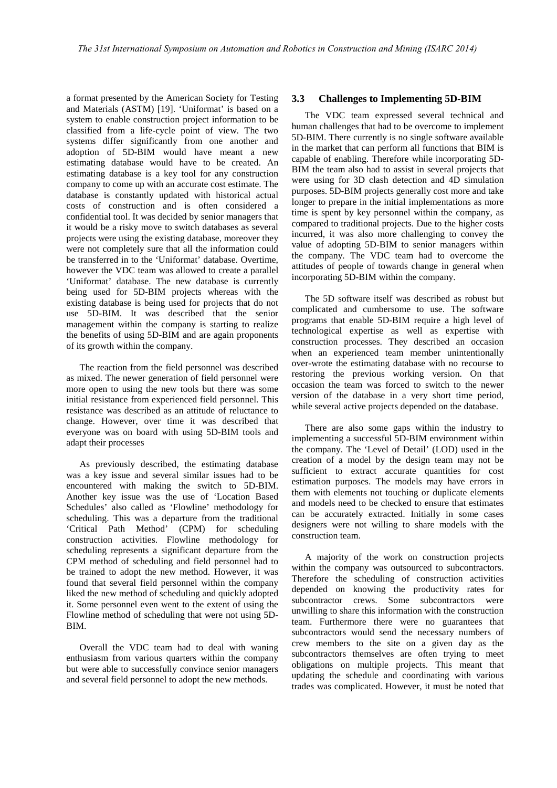a format presented by the American Society for Testing and Materials (ASTM) [19]. 'Uniformat' is based on a system to enable construction project information to be classified from a life-cycle point of view. The two systems differ significantly from one another and adoption of 5D-BIM would have meant a new estimating database would have to be created. An estimating database is a key tool for any construction company to come up with an accurate cost estimate. The database is constantly updated with historical actual costs of construction and is often considered a confidential tool. It was decided by senior managers that it would be a risky move to switch databases as several projects were using the existing database, moreover they were not completely sure that all the information could be transferred in to the 'Uniformat' database. Overtime, however the VDC team was allowed to create a parallel 'Uniformat' database. The new database is currently being used for 5D-BIM projects whereas with the existing database is being used for projects that do not use 5D-BIM. It was described that the senior management within the company is starting to realize the benefits of using 5D-BIM and are again proponents of its growth within the company.

The reaction from the field personnel was described as mixed. The newer generation of field personnel were more open to using the new tools but there was some initial resistance from experienced field personnel. This resistance was described as an attitude of reluctance to change. However, over time it was described that everyone was on board with using 5D-BIM tools and adapt their processes

As previously described, the estimating database was a key issue and several similar issues had to be encountered with making the switch to 5D-BIM. Another key issue was the use of 'Location Based Schedules' also called as 'Flowline' methodology for scheduling. This was a departure from the traditional 'Critical Path Method' (CPM) for scheduling construction activities. Flowline methodology for scheduling represents a significant departure from the CPM method of scheduling and field personnel had to be trained to adopt the new method. However, it was found that several field personnel within the company liked the new method of scheduling and quickly adopted it. Some personnel even went to the extent of using the Flowline method of scheduling that were not using 5D-BIM.

Overall the VDC team had to deal with waning enthusiasm from various quarters within the company but were able to successfully convince senior managers and several field personnel to adopt the new methods.

### **3.3 Challenges to Implementing 5D-BIM**

The VDC team expressed several technical and human challenges that had to be overcome to implement 5D-BIM. There currently is no single software available in the market that can perform all functions that BIM is capable of enabling. Therefore while incorporating 5D-BIM the team also had to assist in several projects that were using for 3D clash detection and 4D simulation purposes. 5D-BIM projects generally cost more and take longer to prepare in the initial implementations as more time is spent by key personnel within the company, as compared to traditional projects. Due to the higher costs incurred, it was also more challenging to convey the value of adopting 5D-BIM to senior managers within the company. The VDC team had to overcome the attitudes of people of towards change in general when incorporating 5D-BIM within the company.

The 5D software itself was described as robust but complicated and cumbersome to use. The software programs that enable 5D-BIM require a high level of technological expertise as well as expertise with construction processes. They described an occasion when an experienced team member unintentionally over-wrote the estimating database with no recourse to restoring the previous working version. On that occasion the team was forced to switch to the newer version of the database in a very short time period, while several active projects depended on the database.

There are also some gaps within the industry to implementing a successful 5D-BIM environment within the company. The 'Level of Detail' (LOD) used in the creation of a model by the design team may not be sufficient to extract accurate quantities for cost estimation purposes. The models may have errors in them with elements not touching or duplicate elements and models need to be checked to ensure that estimates can be accurately extracted. Initially in some cases designers were not willing to share models with the construction team.

A majority of the work on construction projects within the company was outsourced to subcontractors. Therefore the scheduling of construction activities depended on knowing the productivity rates for subcontractor crews. Some subcontractors were unwilling to share this information with the construction team. Furthermore there were no guarantees that subcontractors would send the necessary numbers of crew members to the site on a given day as the subcontractors themselves are often trying to meet obligations on multiple projects. This meant that updating the schedule and coordinating with various trades was complicated. However, it must be noted that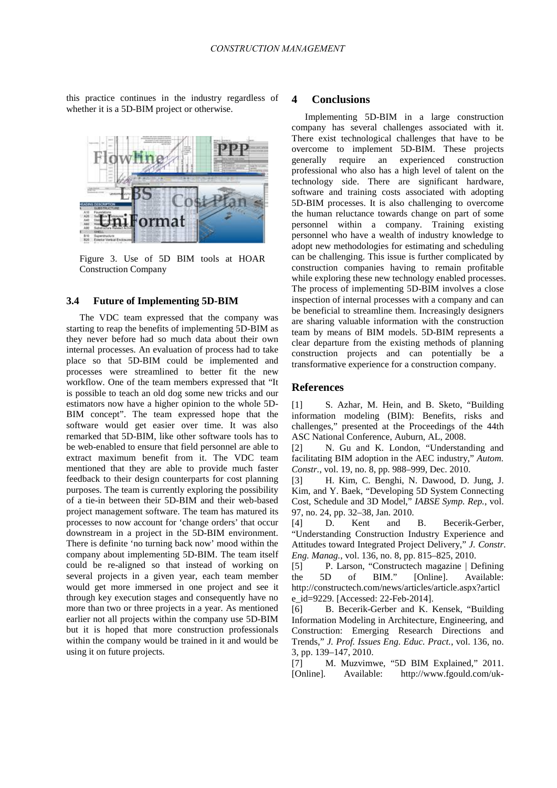this practice continues in the industry regardless of whether it is a 5D-BIM project or otherwise.



Figure 3. Use of 5D BIM tools at HOAR Construction Company

#### **3.4 Future of Implementing 5D-BIM**

The VDC team expressed that the company was starting to reap the benefits of implementing 5D-BIM as they never before had so much data about their own internal processes. An evaluation of process had to take place so that 5D-BIM could be implemented and processes were streamlined to better fit the new workflow. One of the team members expressed that "It is possible to teach an old dog some new tricks and our estimators now have a higher opinion to the whole 5D-BIM concept". The team expressed hope that the software would get easier over time. It was also remarked that 5D-BIM, like other software tools has to be web-enabled to ensure that field personnel are able to extract maximum benefit from it. The VDC team mentioned that they are able to provide much faster feedback to their design counterparts for cost planning purposes. The team is currently exploring the possibility of a tie-in between their 5D-BIM and their web-based project management software. The team has matured its processes to now account for 'change orders' that occur downstream in a project in the 5D-BIM environment. There is definite 'no turning back now' mood within the company about implementing 5D-BIM. The team itself could be re-aligned so that instead of working on several projects in a given year, each team member would get more immersed in one project and see it through key execution stages and consequently have no more than two or three projects in a year. As mentioned earlier not all projects within the company use 5D-BIM but it is hoped that more construction professionals within the company would be trained in it and would be using it on future projects.

#### **4 Conclusions**

Implementing 5D-BIM in a large construction company has several challenges associated with it. There exist technological challenges that have to be overcome to implement 5D-BIM. These projects generally require an experienced construction professional who also has a high level of talent on the technology side. There are significant hardware, software and training costs associated with adopting 5D-BIM processes. It is also challenging to overcome the human reluctance towards change on part of some personnel within a company. Training existing personnel who have a wealth of industry knowledge to adopt new methodologies for estimating and scheduling can be challenging. This issue is further complicated by construction companies having to remain profitable while exploring these new technology enabled processes. The process of implementing 5D-BIM involves a close inspection of internal processes with a company and can be beneficial to streamline them. Increasingly designers are sharing valuable information with the construction team by means of BIM models. 5D-BIM represents a clear departure from the existing methods of planning construction projects and can potentially be a transformative experience for a construction company.

## **References**

[1] S. Azhar, M. Hein, and B. Sketo, "Building information modeling (BIM): Benefits, risks and challenges," presented at the Proceedings of the 44th ASC National Conference, Auburn, AL, 2008.

[2] N. Gu and K. London, "Understanding and facilitating BIM adoption in the AEC industry," *Autom. Constr.*, vol. 19, no. 8, pp. 988–999, Dec. 2010.

[3] H. Kim, C. Benghi, N. Dawood, D. Jung, J. Kim, and Y. Baek, "Developing 5D System Connecting Cost, Schedule and 3D Model," *IABSE Symp. Rep.*, vol. 97, no. 24, pp. 32–38, Jan. 2010.

[4] D. Kent and B. Becerik-Gerber, "Understanding Construction Industry Experience and Attitudes toward Integrated Project Delivery," *J. Constr. Eng. Manag.*, vol. 136, no. 8, pp. 815–825, 2010.

[5] P. Larson, "Constructech magazine | Defining the 5D of BIM." [Online]. Available: http://constructech.com/news/articles/article.aspx?articl e\_id=9229. [Accessed: 22-Feb-2014].

[6] B. Becerik-Gerber and K. Kensek, "Building Information Modeling in Architecture, Engineering, and Construction: Emerging Research Directions and Trends," *J. Prof. Issues Eng. Educ. Pract.*, vol. 136, no. 3, pp. 139–147, 2010.

[7] M. Muzvimwe, "5D BIM Explained," 2011. [Online]. Available: http://www.fgould.com/uk